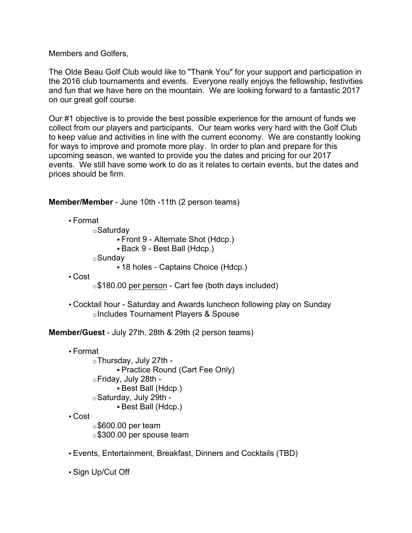Members and Golfers,

The Olde Beau Golf Club would like to "Thank You" for your support and participation in the 2016 club tournaments and events. Everyone really enjoys the fellowship, festivities and fun that we have here on the mountain. We are looking forward to a fantastic 2017 on our great golf course.

Our #1 objective is to provide the best possible experience for the amount of funds we collect from our players and participants. Our team works very hard with the Golf Club to keep value and activities in line with the current economy. We are constantly looking for ways to improve and promote more play. In order to plan and prepare for this upcoming season, we wanted to provide you the dates and pricing for our 2017 events. We still have some work to do as it relates to certain events, but the dates and prices should be firm.

**Member/Member** - June 10th -11th (2 person teams)

• Format oSaturday § Front 9 - Alternate Shot (Hdcp.) § Back 9 - Best Ball (Hdcp.) oSunday § 18 holes - Captains Choice (Hdcp.)

• Cost

o\$180.00 per person - Cart fee (both days included)

• Cocktail hour - Saturday and Awards luncheon following play on Sunday oIncludes Tournament Players & Spouse

**Member/Guest** - July 27th, 28th & 29th (2 person teams)

• Format

 $\circ$ Thursday, July 27th -§ Practice Round (Cart Fee Only) oFriday, July 28th - § Best Ball (Hdcp.) oSaturday, July 29th - § Best Ball (Hdcp.)

• Cost

 $\circ$ \$600.00 per team o\$300.00 per spouse team

• Events, Entertainment, Breakfast, Dinners and Cocktails (TBD)

• Sign Up/Cut Off